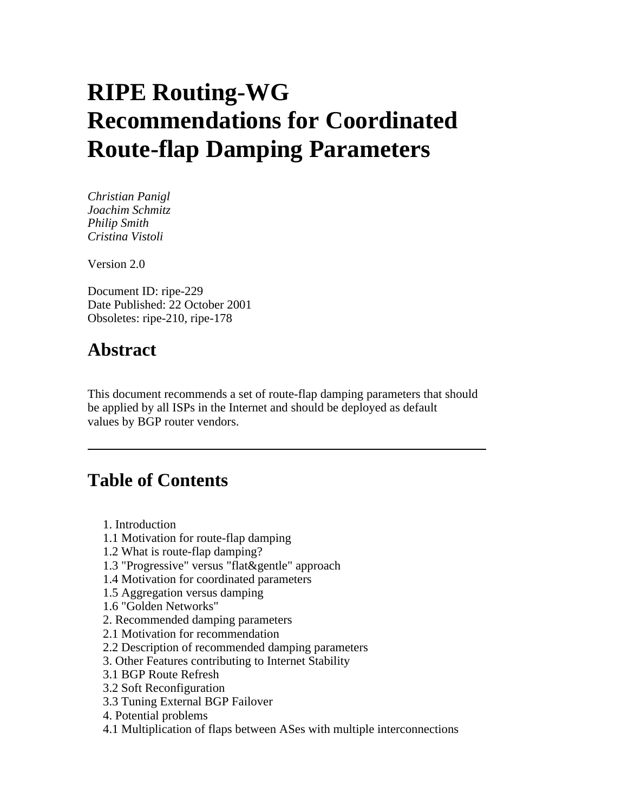# **RIPE Routing-WG Recommendations for Coordinated Route-flap Damping Parameters**

*Christian Panigl Joachim Schmitz Philip Smith Cristina Vistoli* 

Version 2.0

Document ID: ripe-229 Date Published: 22 October 2001 Obsoletes: ripe-210, ripe-178

# **Abstract**

This document recommends a set of route-flap damping parameters that should be applied by all ISPs in the Internet and should be deployed as default values by BGP router vendors.

# **Table of Contents**

- 1. Introduction
- 1.1 Motivation for route-flap damping
- 1.2 What is route-flap damping?
- 1.3 "Progressive" versus "flat&gentle" approach
- 1.4 Motivation for coordinated parameters
- 1.5 Aggregation versus damping
- 1.6 "Golden Networks"
- 2. Recommended damping parameters
- 2.1 Motivation for recommendation
- 2.2 Description of recommended damping parameters
- 3. Other Features contributing to Internet Stability
- 3.1 BGP Route Refresh
- 3.2 Soft Reconfiguration
- 3.3 Tuning External BGP Failover
- 4. Potential problems
- 4.1 Multiplication of flaps between ASes with multiple interconnections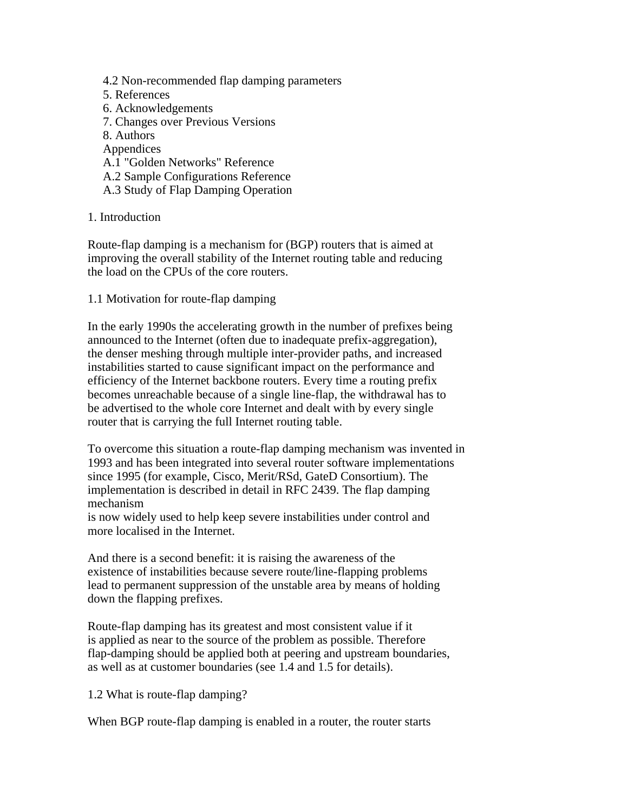- 4.2 Non-recommended flap damping parameters
- 5. References
- 6. Acknowledgements
- 7. Changes over Previous Versions
- 8. Authors
- **Appendices**
- A.1 "Golden Networks" Reference
- A.2 Sample Configurations Reference
- A.3 Study of Flap Damping Operation

# 1. Introduction

Route-flap damping is a mechanism for (BGP) routers that is aimed at improving the overall stability of the Internet routing table and reducing the load on the CPUs of the core routers.

1.1 Motivation for route-flap damping

In the early 1990s the accelerating growth in the number of prefixes being announced to the Internet (often due to inadequate prefix-aggregation), the denser meshing through multiple inter-provider paths, and increased instabilities started to cause significant impact on the performance and efficiency of the Internet backbone routers. Every time a routing prefix becomes unreachable because of a single line-flap, the withdrawal has to be advertised to the whole core Internet and dealt with by every single router that is carrying the full Internet routing table.

To overcome this situation a route-flap damping mechanism was invented in 1993 and has been integrated into several router software implementations since 1995 (for example, Cisco, Merit/RSd, GateD Consortium). The implementation is described in detail in RFC 2439. The flap damping mechanism

is now widely used to help keep severe instabilities under control and more localised in the Internet.

And there is a second benefit: it is raising the awareness of the existence of instabilities because severe route/line-flapping problems lead to permanent suppression of the unstable area by means of holding down the flapping prefixes.

Route-flap damping has its greatest and most consistent value if it is applied as near to the source of the problem as possible. Therefore flap-damping should be applied both at peering and upstream boundaries, as well as at customer boundaries (see 1.4 and 1.5 for details).

1.2 What is route-flap damping?

When BGP route-flap damping is enabled in a router, the router starts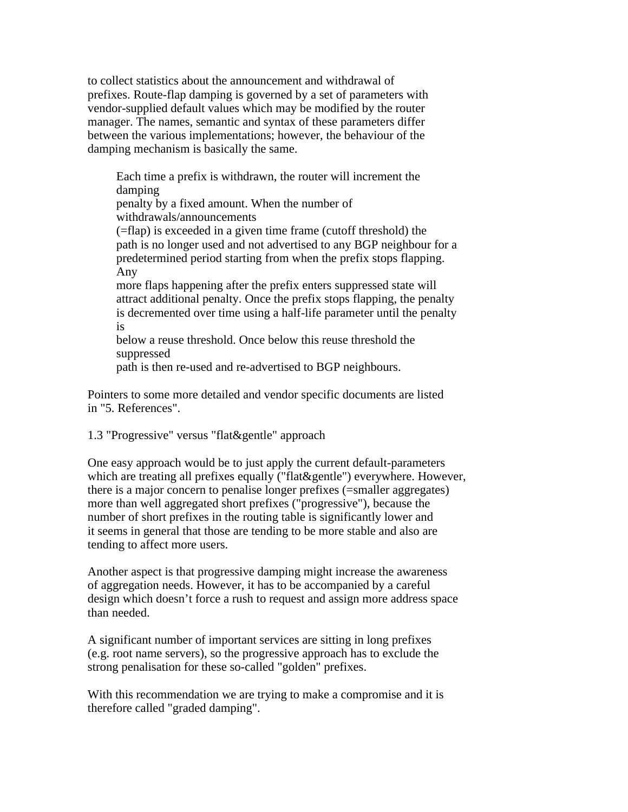to collect statistics about the announcement and withdrawal of prefixes. Route-flap damping is governed by a set of parameters with vendor-supplied default values which may be modified by the router manager. The names, semantic and syntax of these parameters differ between the various implementations; however, the behaviour of the damping mechanism is basically the same.

Each time a prefix is withdrawn, the router will increment the damping

penalty by a fixed amount. When the number of withdrawals/announcements

(=flap) is exceeded in a given time frame (cutoff threshold) the path is no longer used and not advertised to any BGP neighbour for a predetermined period starting from when the prefix stops flapping. Any

more flaps happening after the prefix enters suppressed state will attract additional penalty. Once the prefix stops flapping, the penalty is decremented over time using a half-life parameter until the penalty is

below a reuse threshold. Once below this reuse threshold the suppressed

path is then re-used and re-advertised to BGP neighbours.

Pointers to some more detailed and vendor specific documents are listed in "5. References".

1.3 "Progressive" versus "flat&gentle" approach

One easy approach would be to just apply the current default-parameters which are treating all prefixes equally ("flat&gentle") everywhere. However, there is a major concern to penalise longer prefixes (=smaller aggregates) more than well aggregated short prefixes ("progressive"), because the number of short prefixes in the routing table is significantly lower and it seems in general that those are tending to be more stable and also are tending to affect more users.

Another aspect is that progressive damping might increase the awareness of aggregation needs. However, it has to be accompanied by a careful design which doesn't force a rush to request and assign more address space than needed.

A significant number of important services are sitting in long prefixes (e.g. root name servers), so the progressive approach has to exclude the strong penalisation for these so-called "golden" prefixes.

With this recommendation we are trying to make a compromise and it is therefore called "graded damping".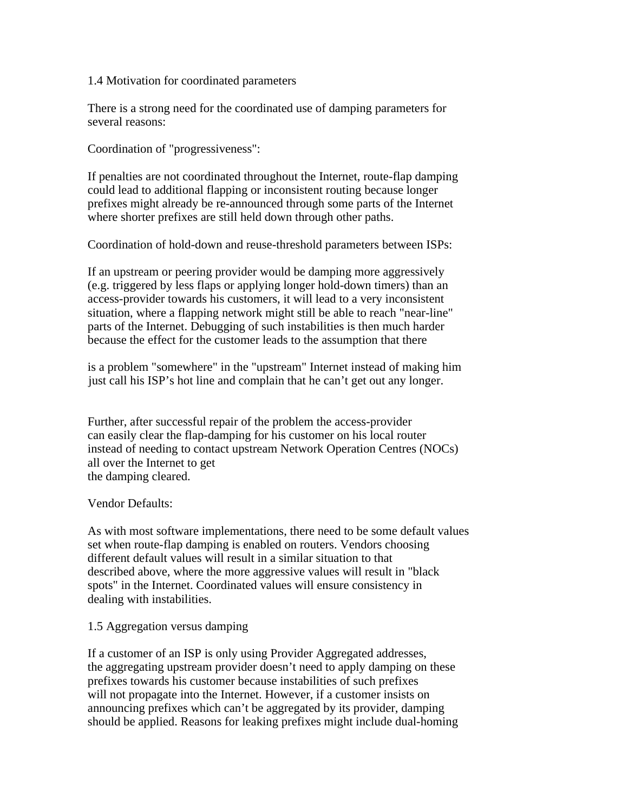#### 1.4 Motivation for coordinated parameters

There is a strong need for the coordinated use of damping parameters for several reasons:

Coordination of "progressiveness":

If penalties are not coordinated throughout the Internet, route-flap damping could lead to additional flapping or inconsistent routing because longer prefixes might already be re-announced through some parts of the Internet where shorter prefixes are still held down through other paths.

Coordination of hold-down and reuse-threshold parameters between ISPs:

If an upstream or peering provider would be damping more aggressively (e.g. triggered by less flaps or applying longer hold-down timers) than an access-provider towards his customers, it will lead to a very inconsistent situation, where a flapping network might still be able to reach "near-line" parts of the Internet. Debugging of such instabilities is then much harder because the effect for the customer leads to the assumption that there

is a problem "somewhere" in the "upstream" Internet instead of making him just call his ISP's hot line and complain that he can't get out any longer.

Further, after successful repair of the problem the access-provider can easily clear the flap-damping for his customer on his local router instead of needing to contact upstream Network Operation Centres (NOCs) all over the Internet to get the damping cleared.

# Vendor Defaults:

As with most software implementations, there need to be some default values set when route-flap damping is enabled on routers. Vendors choosing different default values will result in a similar situation to that described above, where the more aggressive values will result in "black spots" in the Internet. Coordinated values will ensure consistency in dealing with instabilities.

# 1.5 Aggregation versus damping

If a customer of an ISP is only using Provider Aggregated addresses, the aggregating upstream provider doesn't need to apply damping on these prefixes towards his customer because instabilities of such prefixes will not propagate into the Internet. However, if a customer insists on announcing prefixes which can't be aggregated by its provider, damping should be applied. Reasons for leaking prefixes might include dual-homing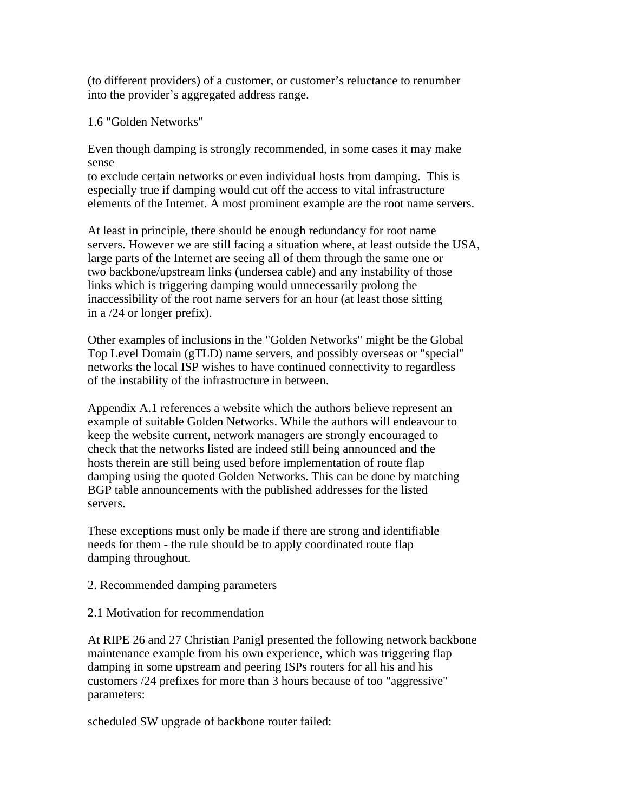(to different providers) of a customer, or customer's reluctance to renumber into the provider's aggregated address range.

1.6 "Golden Networks"

Even though damping is strongly recommended, in some cases it may make sense

to exclude certain networks or even individual hosts from damping. This is especially true if damping would cut off the access to vital infrastructure elements of the Internet. A most prominent example are the root name servers.

At least in principle, there should be enough redundancy for root name servers. However we are still facing a situation where, at least outside the USA, large parts of the Internet are seeing all of them through the same one or two backbone/upstream links (undersea cable) and any instability of those links which is triggering damping would unnecessarily prolong the inaccessibility of the root name servers for an hour (at least those sitting in a /24 or longer prefix).

Other examples of inclusions in the "Golden Networks" might be the Global Top Level Domain (gTLD) name servers, and possibly overseas or "special" networks the local ISP wishes to have continued connectivity to regardless of the instability of the infrastructure in between.

Appendix A.1 references a website which the authors believe represent an example of suitable Golden Networks. While the authors will endeavour to keep the website current, network managers are strongly encouraged to check that the networks listed are indeed still being announced and the hosts therein are still being used before implementation of route flap damping using the quoted Golden Networks. This can be done by matching BGP table announcements with the published addresses for the listed servers.

These exceptions must only be made if there are strong and identifiable needs for them - the rule should be to apply coordinated route flap damping throughout.

- 2. Recommended damping parameters
- 2.1 Motivation for recommendation

At RIPE 26 and 27 Christian Panigl presented the following network backbone maintenance example from his own experience, which was triggering flap damping in some upstream and peering ISPs routers for all his and his customers /24 prefixes for more than 3 hours because of too "aggressive" parameters:

scheduled SW upgrade of backbone router failed: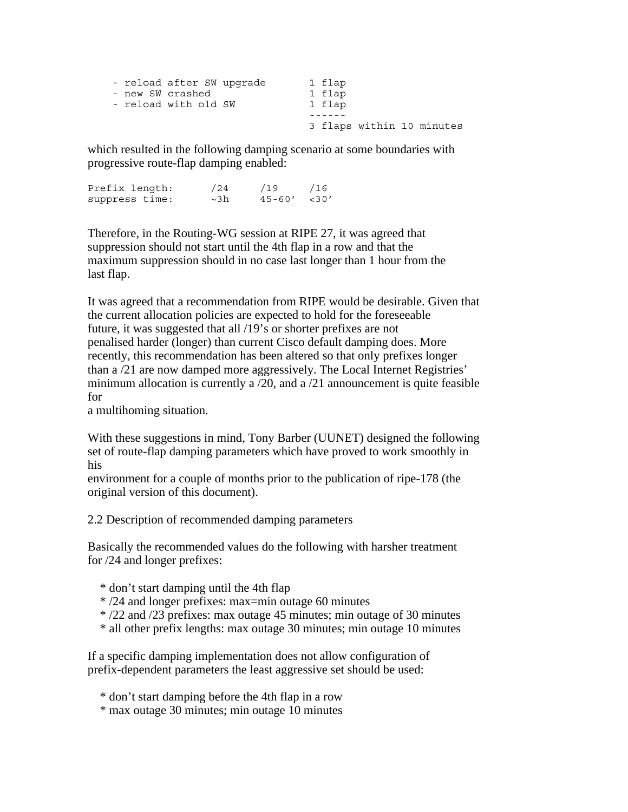| - reload after SW upgrade | 1 flap                    |
|---------------------------|---------------------------|
| - new SW crashed          | 1 flap                    |
| - reload with old SW      | 1 flap                    |
|                           |                           |
|                           | 3 flaps within 10 minutes |

which resulted in the following damping scenario at some boundaries with progressive route-flap damping enabled:

Prefix length: /24 /19 /16 suppress time:  $\sim$ 3h 45-60' <30'

Therefore, in the Routing-WG session at RIPE 27, it was agreed that suppression should not start until the 4th flap in a row and that the maximum suppression should in no case last longer than 1 hour from the last flap.

It was agreed that a recommendation from RIPE would be desirable. Given that the current allocation policies are expected to hold for the foreseeable future, it was suggested that all /19's or shorter prefixes are not penalised harder (longer) than current Cisco default damping does. More recently, this recommendation has been altered so that only prefixes longer than a /21 are now damped more aggressively. The Local Internet Registries' minimum allocation is currently a /20, and a /21 announcement is quite feasible for

a multihoming situation.

With these suggestions in mind, Tony Barber (UUNET) designed the following set of route-flap damping parameters which have proved to work smoothly in his

environment for a couple of months prior to the publication of ripe-178 (the original version of this document).

2.2 Description of recommended damping parameters

Basically the recommended values do the following with harsher treatment for /24 and longer prefixes:

- \* don't start damping until the 4th flap
- \* /24 and longer prefixes: max=min outage 60 minutes
- \* /22 and /23 prefixes: max outage 45 minutes; min outage of 30 minutes
- \* all other prefix lengths: max outage 30 minutes; min outage 10 minutes

If a specific damping implementation does not allow configuration of prefix-dependent parameters the least aggressive set should be used:

- \* don't start damping before the 4th flap in a row
- \* max outage 30 minutes; min outage 10 minutes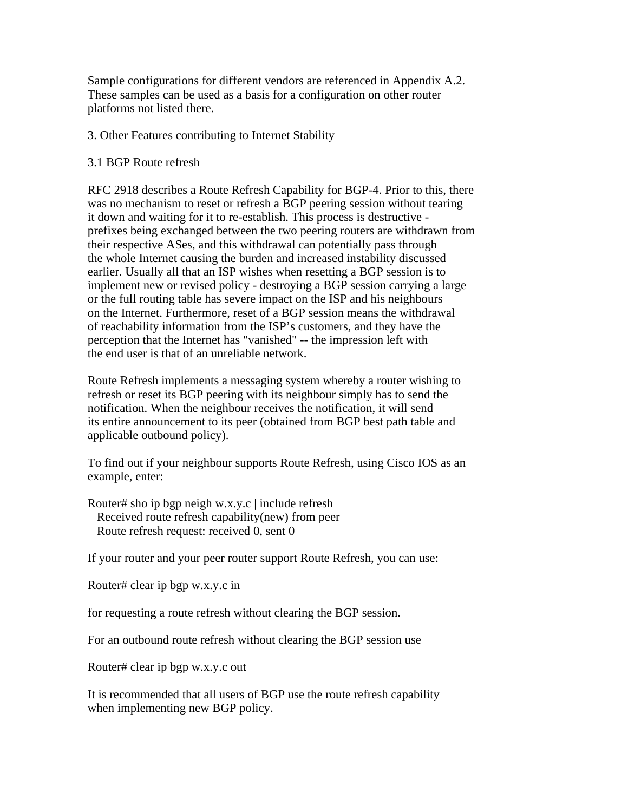Sample configurations for different vendors are referenced in Appendix A.2. These samples can be used as a basis for a configuration on other router platforms not listed there.

### 3. Other Features contributing to Internet Stability

### 3.1 BGP Route refresh

RFC 2918 describes a Route Refresh Capability for BGP-4. Prior to this, there was no mechanism to reset or refresh a BGP peering session without tearing it down and waiting for it to re-establish. This process is destructive prefixes being exchanged between the two peering routers are withdrawn from their respective ASes, and this withdrawal can potentially pass through the whole Internet causing the burden and increased instability discussed earlier. Usually all that an ISP wishes when resetting a BGP session is to implement new or revised policy - destroying a BGP session carrying a large or the full routing table has severe impact on the ISP and his neighbours on the Internet. Furthermore, reset of a BGP session means the withdrawal of reachability information from the ISP's customers, and they have the perception that the Internet has "vanished" -- the impression left with the end user is that of an unreliable network.

Route Refresh implements a messaging system whereby a router wishing to refresh or reset its BGP peering with its neighbour simply has to send the notification. When the neighbour receives the notification, it will send its entire announcement to its peer (obtained from BGP best path table and applicable outbound policy).

To find out if your neighbour supports Route Refresh, using Cisco IOS as an example, enter:

Router# sho ip bgp neigh w.x.y.c | include refresh Received route refresh capability(new) from peer Route refresh request: received 0, sent 0

If your router and your peer router support Route Refresh, you can use:

Router# clear ip bgp w.x.y.c in

for requesting a route refresh without clearing the BGP session.

For an outbound route refresh without clearing the BGP session use

Router# clear ip bgp w.x.y.c out

It is recommended that all users of BGP use the route refresh capability when implementing new BGP policy.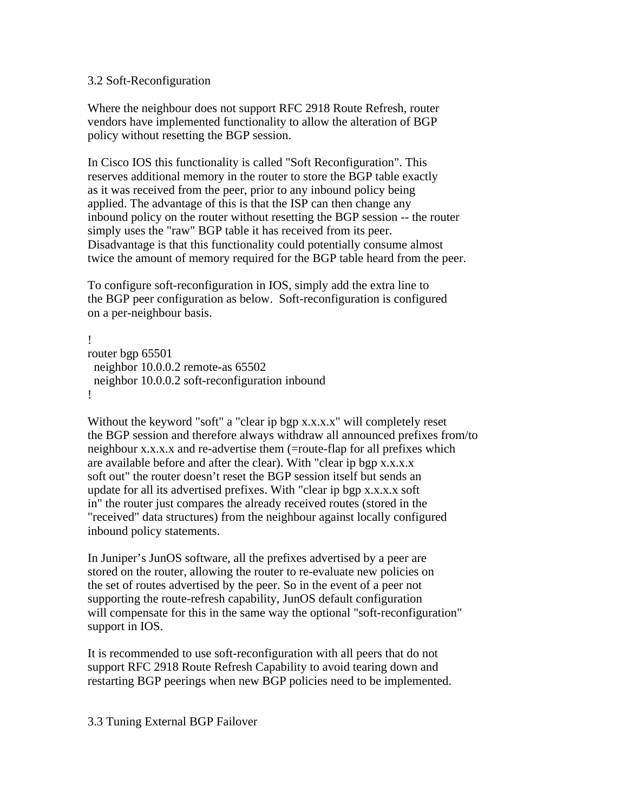#### 3.2 Soft-Reconfiguration

Where the neighbour does not support RFC 2918 Route Refresh, router vendors have implemented functionality to allow the alteration of BGP policy without resetting the BGP session.

In Cisco IOS this functionality is called "Soft Reconfiguration". This reserves additional memory in the router to store the BGP table exactly as it was received from the peer, prior to any inbound policy being applied. The advantage of this is that the ISP can then change any inbound policy on the router without resetting the BGP session -- the router simply uses the "raw" BGP table it has received from its peer. Disadvantage is that this functionality could potentially consume almost twice the amount of memory required for the BGP table heard from the peer.

To configure soft-reconfiguration in IOS, simply add the extra line to the BGP peer configuration as below. Soft-reconfiguration is configured on a per-neighbour basis.

```
! 
router bgp 65501 
  neighbor 10.0.0.2 remote-as 65502 
  neighbor 10.0.0.2 soft-reconfiguration inbound 
!
```
Without the keyword "soft" a "clear ip bgp x.x.x.x" will completely reset the BGP session and therefore always withdraw all announced prefixes from/to neighbour x.x.x.x and re-advertise them (=route-flap for all prefixes which are available before and after the clear). With "clear ip bgp x.x.x.x soft out" the router doesn't reset the BGP session itself but sends an update for all its advertised prefixes. With "clear ip bgp x.x.x.x soft in" the router just compares the already received routes (stored in the "received" data structures) from the neighbour against locally configured inbound policy statements.

In Juniper's JunOS software, all the prefixes advertised by a peer are stored on the router, allowing the router to re-evaluate new policies on the set of routes advertised by the peer. So in the event of a peer not supporting the route-refresh capability, JunOS default configuration will compensate for this in the same way the optional "soft-reconfiguration" support in IOS.

It is recommended to use soft-reconfiguration with all peers that do not support RFC 2918 Route Refresh Capability to avoid tearing down and restarting BGP peerings when new BGP policies need to be implemented.

3.3 Tuning External BGP Failover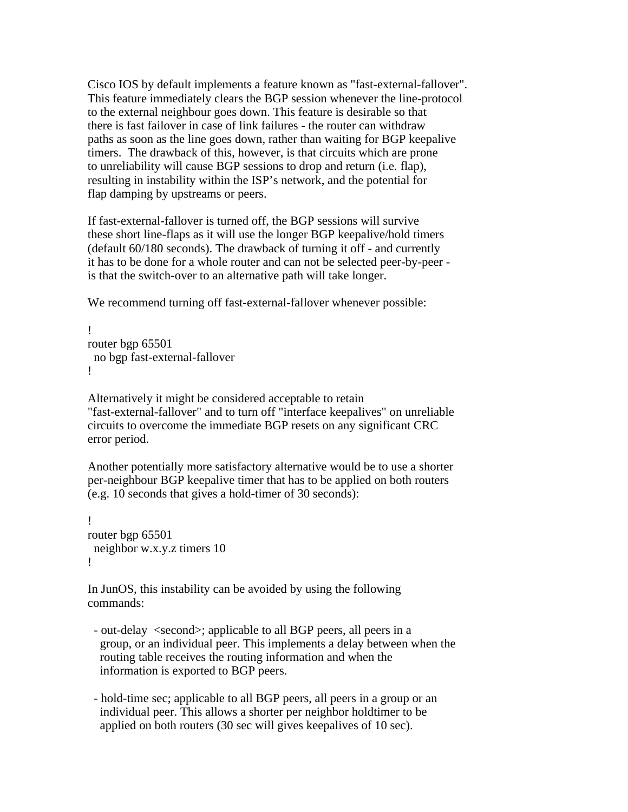Cisco IOS by default implements a feature known as "fast-external-fallover". This feature immediately clears the BGP session whenever the line-protocol to the external neighbour goes down. This feature is desirable so that there is fast failover in case of link failures - the router can withdraw paths as soon as the line goes down, rather than waiting for BGP keepalive timers. The drawback of this, however, is that circuits which are prone to unreliability will cause BGP sessions to drop and return (i.e. flap), resulting in instability within the ISP's network, and the potential for flap damping by upstreams or peers.

If fast-external-fallover is turned off, the BGP sessions will survive these short line-flaps as it will use the longer BGP keepalive/hold timers (default 60/180 seconds). The drawback of turning it off - and currently it has to be done for a whole router and can not be selected peer-by-peer is that the switch-over to an alternative path will take longer.

We recommend turning off fast-external-fallover whenever possible:

```
! 
router bgp 65501 
  no bgp fast-external-fallover 
!
```
Alternatively it might be considered acceptable to retain "fast-external-fallover" and to turn off "interface keepalives" on unreliable circuits to overcome the immediate BGP resets on any significant CRC error period.

Another potentially more satisfactory alternative would be to use a shorter per-neighbour BGP keepalive timer that has to be applied on both routers (e.g. 10 seconds that gives a hold-timer of 30 seconds):

```
! 
router bgp 65501 
  neighbor w.x.y.z timers 10 
!
```
In JunOS, this instability can be avoided by using the following commands:

- out-delay <second>; applicable to all BGP peers, all peers in a group, or an individual peer. This implements a delay between when the routing table receives the routing information and when the information is exported to BGP peers.
- hold-time sec; applicable to all BGP peers, all peers in a group or an individual peer. This allows a shorter per neighbor holdtimer to be applied on both routers (30 sec will gives keepalives of 10 sec).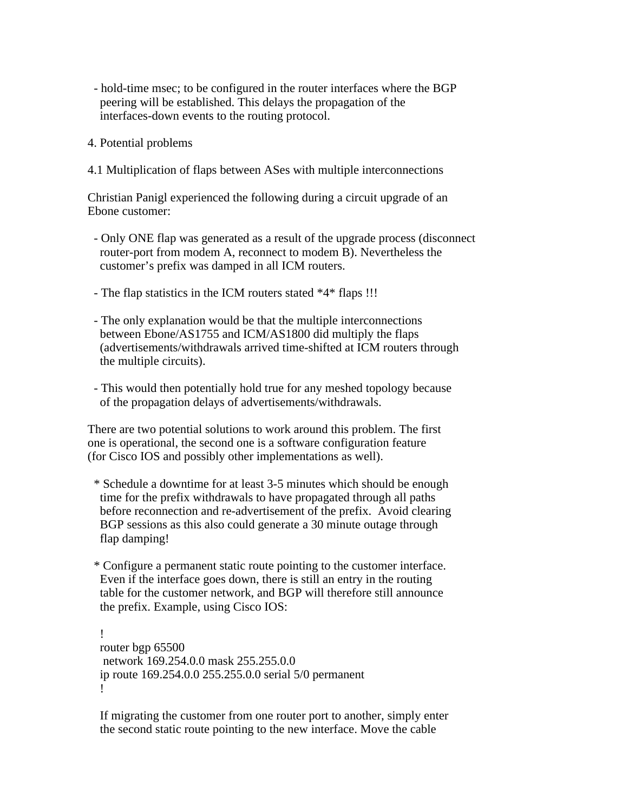- hold-time msec; to be configured in the router interfaces where the BGP peering will be established. This delays the propagation of the interfaces-down events to the routing protocol.
- 4. Potential problems
- 4.1 Multiplication of flaps between ASes with multiple interconnections

Christian Panigl experienced the following during a circuit upgrade of an Ebone customer:

- Only ONE flap was generated as a result of the upgrade process (disconnect router-port from modem A, reconnect to modem B). Nevertheless the customer's prefix was damped in all ICM routers.
- The flap statistics in the ICM routers stated \*4\* flaps !!!
- The only explanation would be that the multiple interconnections between Ebone/AS1755 and ICM/AS1800 did multiply the flaps (advertisements/withdrawals arrived time-shifted at ICM routers through the multiple circuits).
- This would then potentially hold true for any meshed topology because of the propagation delays of advertisements/withdrawals.

There are two potential solutions to work around this problem. The first one is operational, the second one is a software configuration feature (for Cisco IOS and possibly other implementations as well).

- \* Schedule a downtime for at least 3-5 minutes which should be enough time for the prefix withdrawals to have propagated through all paths before reconnection and re-advertisement of the prefix. Avoid clearing BGP sessions as this also could generate a 30 minute outage through flap damping!
- \* Configure a permanent static route pointing to the customer interface. Even if the interface goes down, there is still an entry in the routing table for the customer network, and BGP will therefore still announce the prefix. Example, using Cisco IOS:

 ! router bgp 65500 network 169.254.0.0 mask 255.255.0.0 ip route 169.254.0.0 255.255.0.0 serial 5/0 permanent !

 If migrating the customer from one router port to another, simply enter the second static route pointing to the new interface. Move the cable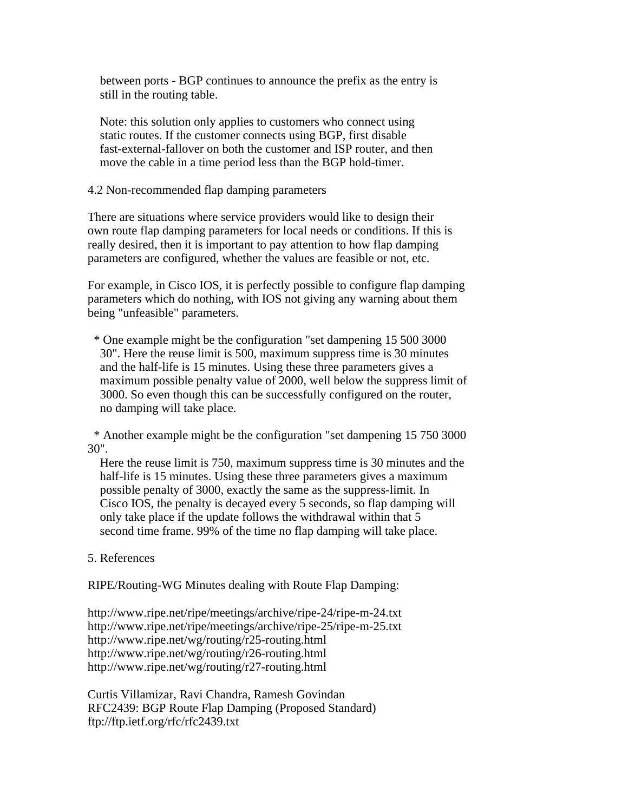between ports - BGP continues to announce the prefix as the entry is still in the routing table.

 Note: this solution only applies to customers who connect using static routes. If the customer connects using BGP, first disable fast-external-fallover on both the customer and ISP router, and then move the cable in a time period less than the BGP hold-timer.

#### 4.2 Non-recommended flap damping parameters

There are situations where service providers would like to design their own route flap damping parameters for local needs or conditions. If this is really desired, then it is important to pay attention to how flap damping parameters are configured, whether the values are feasible or not, etc.

For example, in Cisco IOS, it is perfectly possible to configure flap damping parameters which do nothing, with IOS not giving any warning about them being "unfeasible" parameters.

 \* One example might be the configuration "set dampening 15 500 3000 30". Here the reuse limit is 500, maximum suppress time is 30 minutes and the half-life is 15 minutes. Using these three parameters gives a maximum possible penalty value of 2000, well below the suppress limit of 3000. So even though this can be successfully configured on the router, no damping will take place.

 \* Another example might be the configuration "set dampening 15 750 3000 30".

 Here the reuse limit is 750, maximum suppress time is 30 minutes and the half-life is 15 minutes. Using these three parameters gives a maximum possible penalty of 3000, exactly the same as the suppress-limit. In Cisco IOS, the penalty is decayed every 5 seconds, so flap damping will only take place if the update follows the withdrawal within that 5 second time frame. 99% of the time no flap damping will take place.

# 5. References

RIPE/Routing-WG Minutes dealing with Route Flap Damping:

http://www.ripe.net/ripe/meetings/archive/ripe-24/ripe-m-24.txt http://www.ripe.net/ripe/meetings/archive/ripe-25/ripe-m-25.txt http://www.ripe.net/wg/routing/r25-routing.html http://www.ripe.net/wg/routing/r26-routing.html http://www.ripe.net/wg/routing/r27-routing.html

Curtis Villamizar, Ravi Chandra, Ramesh Govindan RFC2439: BGP Route Flap Damping (Proposed Standard) ftp://ftp.ietf.org/rfc/rfc2439.txt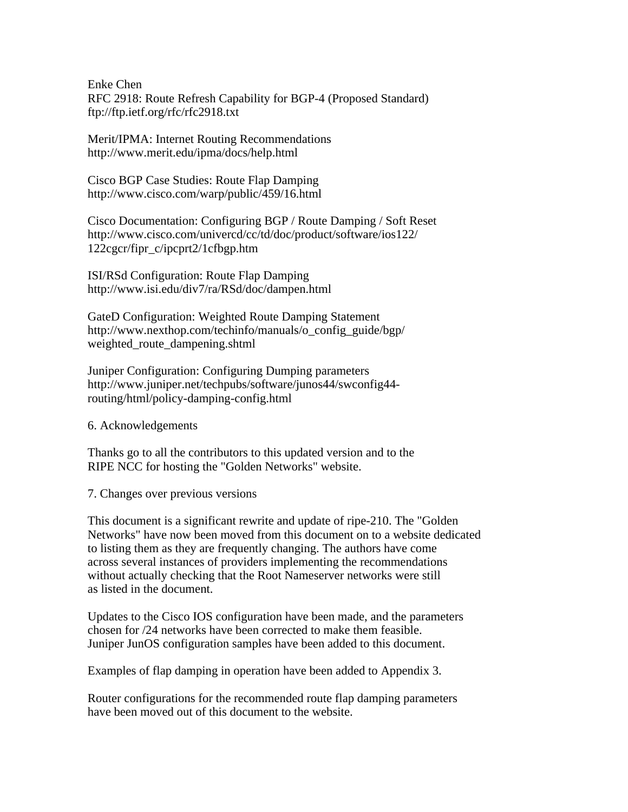Enke Chen RFC 2918: Route Refresh Capability for BGP-4 (Proposed Standard) ftp://ftp.ietf.org/rfc/rfc2918.txt

Merit/IPMA: Internet Routing Recommendations http://www.merit.edu/ipma/docs/help.html

Cisco BGP Case Studies: Route Flap Damping http://www.cisco.com/warp/public/459/16.html

Cisco Documentation: Configuring BGP / Route Damping / Soft Reset http://www.cisco.com/univercd/cc/td/doc/product/software/ios122/ 122cgcr/fipr\_c/ipcprt2/1cfbgp.htm

ISI/RSd Configuration: Route Flap Damping http://www.isi.edu/div7/ra/RSd/doc/dampen.html

GateD Configuration: Weighted Route Damping Statement http://www.nexthop.com/techinfo/manuals/o\_config\_guide/bgp/ weighted\_route\_dampening.shtml

Juniper Configuration: Configuring Dumping parameters http://www.juniper.net/techpubs/software/junos44/swconfig44 routing/html/policy-damping-config.html

6. Acknowledgements

Thanks go to all the contributors to this updated version and to the RIPE NCC for hosting the "Golden Networks" website.

7. Changes over previous versions

This document is a significant rewrite and update of ripe-210. The "Golden Networks" have now been moved from this document on to a website dedicated to listing them as they are frequently changing. The authors have come across several instances of providers implementing the recommendations without actually checking that the Root Nameserver networks were still as listed in the document.

Updates to the Cisco IOS configuration have been made, and the parameters chosen for /24 networks have been corrected to make them feasible. Juniper JunOS configuration samples have been added to this document.

Examples of flap damping in operation have been added to Appendix 3.

Router configurations for the recommended route flap damping parameters have been moved out of this document to the website.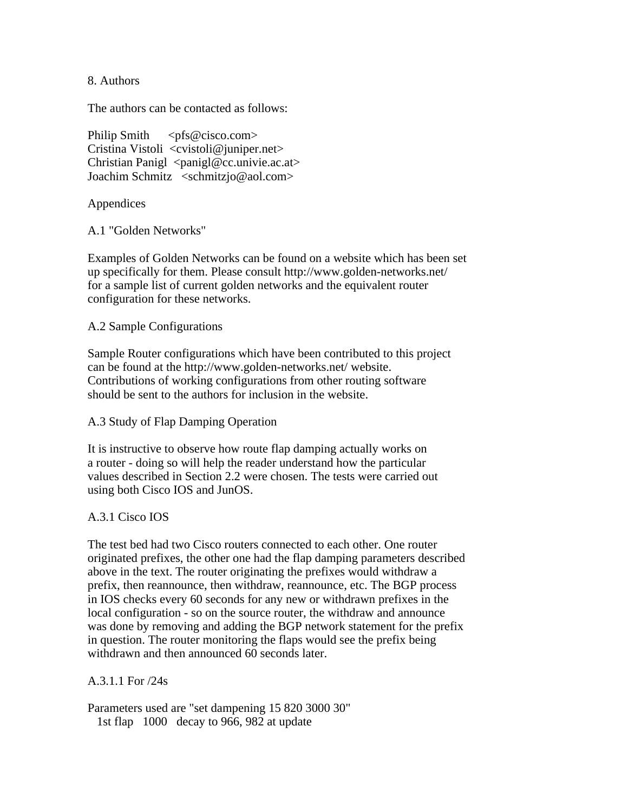8. Authors

The authors can be contacted as follows:

Philip Smith  $\langle pfs@cisco.com\rangle$ Cristina Vistoli <cvistoli@juniper.net> Christian Panigl  $\langle$  panigl@cc.univie.ac.at $>$ Joachim Schmitz <schmitzjo@aol.com>

Appendices

A.1 "Golden Networks"

Examples of Golden Networks can be found on a website which has been set up specifically for them. Please consult http://www.golden-networks.net/ for a sample list of current golden networks and the equivalent router configuration for these networks.

#### A.2 Sample Configurations

Sample Router configurations which have been contributed to this project can be found at the http://www.golden-networks.net/ website. Contributions of working configurations from other routing software should be sent to the authors for inclusion in the website.

# A.3 Study of Flap Damping Operation

It is instructive to observe how route flap damping actually works on a router - doing so will help the reader understand how the particular values described in Section 2.2 were chosen. The tests were carried out using both Cisco IOS and JunOS.

# A.3.1 Cisco IOS

The test bed had two Cisco routers connected to each other. One router originated prefixes, the other one had the flap damping parameters described above in the text. The router originating the prefixes would withdraw a prefix, then reannounce, then withdraw, reannounce, etc. The BGP process in IOS checks every 60 seconds for any new or withdrawn prefixes in the local configuration - so on the source router, the withdraw and announce was done by removing and adding the BGP network statement for the prefix in question. The router monitoring the flaps would see the prefix being withdrawn and then announced 60 seconds later.

# A.3.1.1 For /24s

Parameters used are "set dampening 15 820 3000 30" 1st flap 1000 decay to 966, 982 at update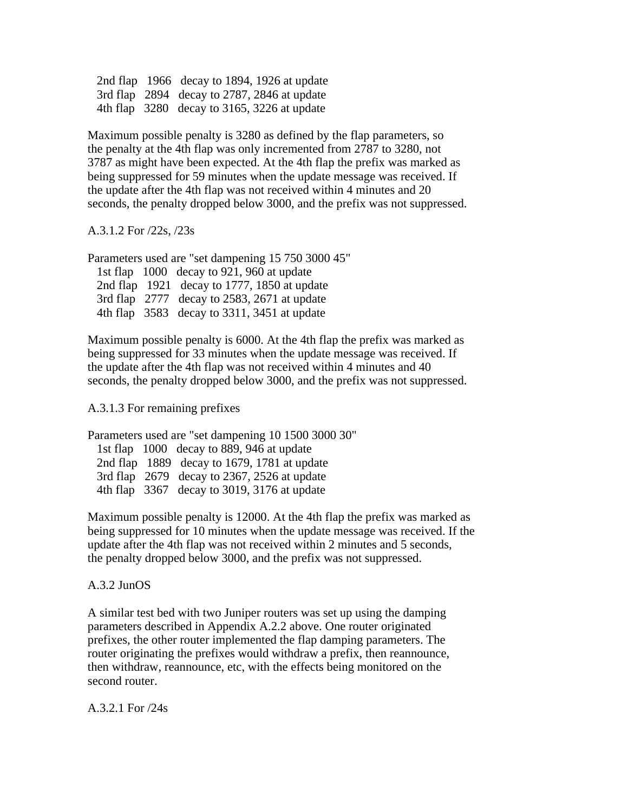2nd flap 1966 decay to 1894, 1926 at update 3rd flap 2894 decay to 2787, 2846 at update 4th flap 3280 decay to 3165, 3226 at update

Maximum possible penalty is 3280 as defined by the flap parameters, so the penalty at the 4th flap was only incremented from 2787 to 3280, not 3787 as might have been expected. At the 4th flap the prefix was marked as being suppressed for 59 minutes when the update message was received. If the update after the 4th flap was not received within 4 minutes and 20 seconds, the penalty dropped below 3000, and the prefix was not suppressed.

A.3.1.2 For /22s, /23s

Parameters used are "set dampening 15 750 3000 45" 1st flap 1000 decay to 921, 960 at update 2nd flap 1921 decay to 1777, 1850 at update

 3rd flap 2777 decay to 2583, 2671 at update 4th flap 3583 decay to 3311, 3451 at update

Maximum possible penalty is 6000. At the 4th flap the prefix was marked as being suppressed for 33 minutes when the update message was received. If the update after the 4th flap was not received within 4 minutes and 40 seconds, the penalty dropped below 3000, and the prefix was not suppressed.

A.3.1.3 For remaining prefixes

| Parameters used are "set dampening 10 1500 3000 30" |  |                                               |
|-----------------------------------------------------|--|-----------------------------------------------|
|                                                     |  | 1st flap 1000 decay to 889, 946 at update     |
|                                                     |  | 2nd flap $1889$ decay to 1679, 1781 at update |
|                                                     |  | 3rd flap 2679 decay to 2367, 2526 at update   |
|                                                     |  | 4th flap 3367 decay to 3019, 3176 at update   |

Maximum possible penalty is 12000. At the 4th flap the prefix was marked as being suppressed for 10 minutes when the update message was received. If the update after the 4th flap was not received within 2 minutes and 5 seconds, the penalty dropped below 3000, and the prefix was not suppressed.

# A.3.2 JunOS

A similar test bed with two Juniper routers was set up using the damping parameters described in Appendix A.2.2 above. One router originated prefixes, the other router implemented the flap damping parameters. The router originating the prefixes would withdraw a prefix, then reannounce, then withdraw, reannounce, etc, with the effects being monitored on the second router.

A.3.2.1 For /24s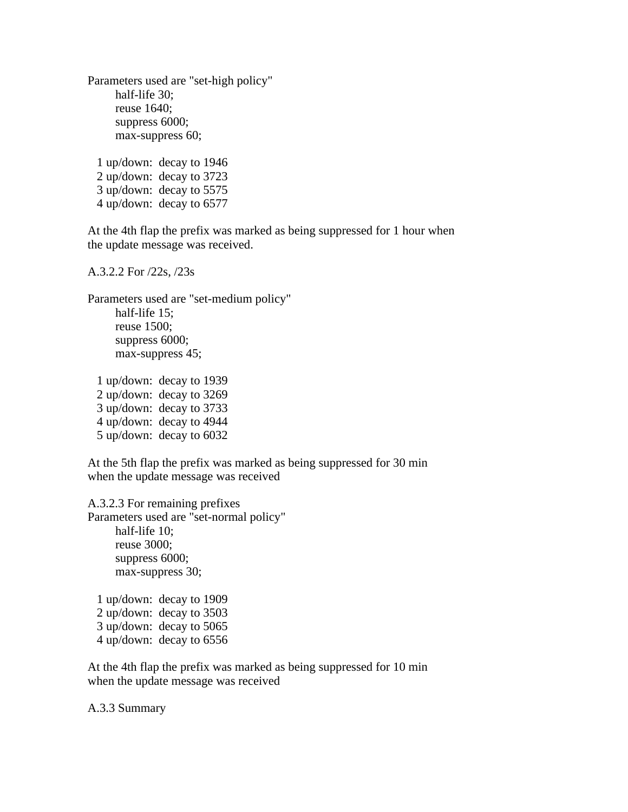Parameters used are "set-high policy" half-life 30; reuse 1640; suppress 6000; max-suppress 60; 1 up/down: decay to 1946 2 up/down: decay to 3723 3 up/down: decay to 5575 4 up/down: decay to 6577

At the 4th flap the prefix was marked as being suppressed for 1 hour when the update message was received.

A.3.2.2 For /22s, /23s

Parameters used are "set-medium policy" half-life 15; reuse 1500; suppress 6000; max-suppress 45;

 1 up/down: decay to 1939 2 up/down: decay to 3269 3 up/down: decay to 3733 4 up/down: decay to 4944 5 up/down: decay to 6032

At the 5th flap the prefix was marked as being suppressed for 30 min when the update message was received

A.3.2.3 For remaining prefixes Parameters used are "set-normal policy" half-life 10; reuse 3000; suppress 6000; max-suppress 30;

 1 up/down: decay to 1909 2 up/down: decay to 3503 3 up/down: decay to 5065 4 up/down: decay to 6556

At the 4th flap the prefix was marked as being suppressed for 10 min when the update message was received

A.3.3 Summary